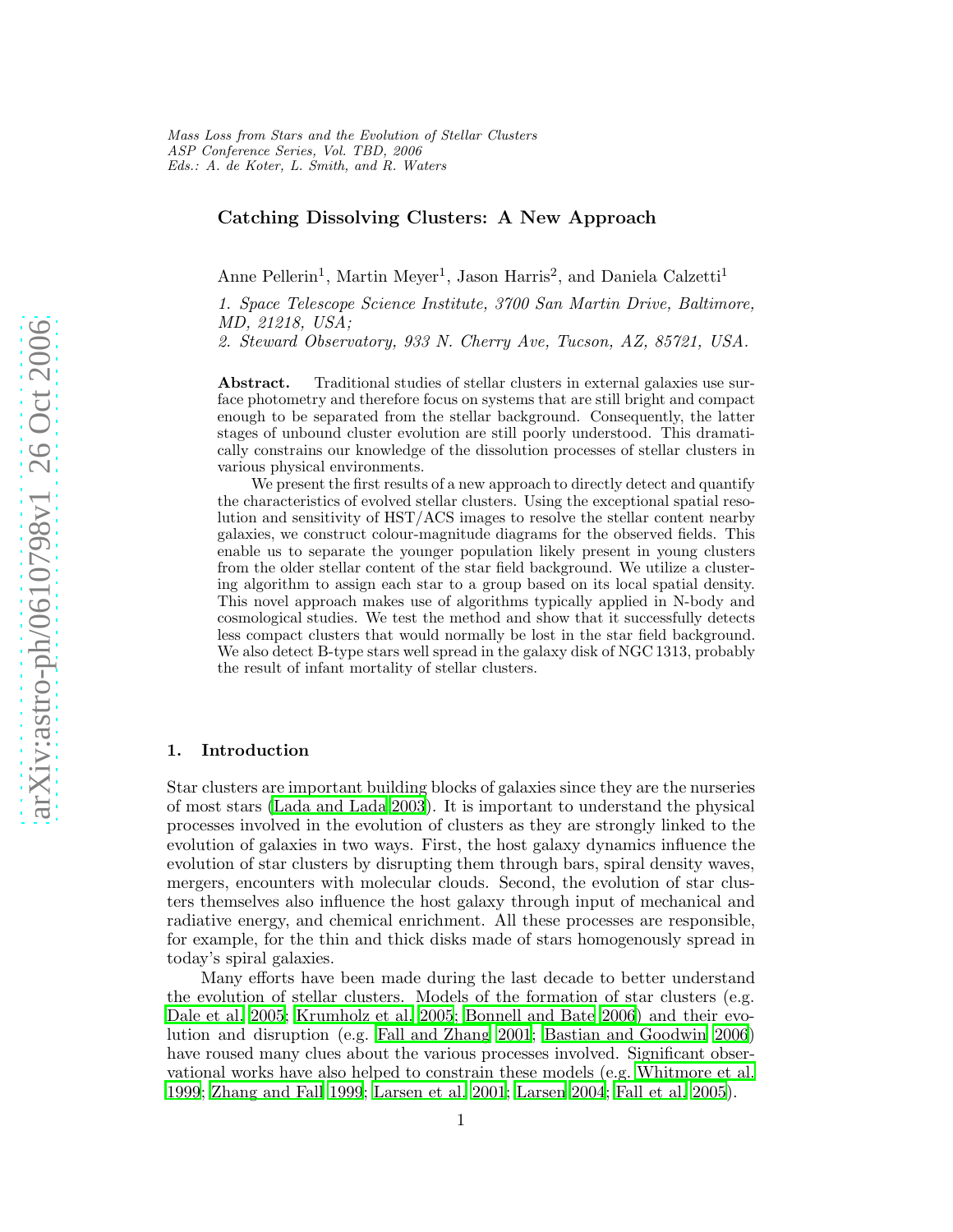# Catching Dissolving Clusters: A New Approach

Anne Pellerin<sup>1</sup>, Martin Meyer<sup>1</sup>, Jason Harris<sup>2</sup>, and Daniela Calzetti<sup>1</sup>

1. Space Telescope Science Institute, 3700 San Martin Drive, Baltimore, MD, 21218, USA;

2. Steward Observatory, 933 N. Cherry Ave, Tucson, AZ, 85721, USA.

Abstract. Traditional studies of stellar clusters in external galaxies use surface photometry and therefore focus on systems that are still bright and compact enough to be separated from the stellar background. Consequently, the latter stages of unbound cluster evolution are still poorly understood. This dramatically constrains our knowledge of the dissolution processes of stellar clusters in various physical environments.

We present the first results of a new approach to directly detect and quantify the characteristics of evolved stellar clusters. Using the exceptional spatial resolution and sensitivity of HST/ACS images to resolve the stellar content nearby galaxies, we construct colour-magnitude diagrams for the observed fields. This enable us to separate the younger population likely present in young clusters from the older stellar content of the star field background. We utilize a clustering algorithm to assign each star to a group based on its local spatial density. This novel approach makes use of algorithms typically applied in N-body and cosmological studies. We test the method and show that it successfully detects less compact clusters that would normally be lost in the star field background. We also detect B-type stars well spread in the galaxy disk of NGC 1313, probably the result of infant mortality of stellar clusters.

## 1. Introduction

Star clusters are important building blocks of galaxies since they are the nurseries of most stars [\(Lada and Lada 2003](#page-7-0)). It is important to understand the physical processes involved in the evolution of clusters as they are strongly linked to the evolution of galaxies in two ways. First, the host galaxy dynamics influence the evolution of star clusters by disrupting them through bars, spiral density waves, mergers, encounters with molecular clouds. Second, the evolution of star clusters themselves also influence the host galaxy through input of mechanical and radiative energy, and chemical enrichment. All these processes are responsible, for example, for the thin and thick disks made of stars homogenously spread in today's spiral galaxies.

Many efforts have been made during the last decade to better understand the evolution of stellar clusters. Models of the formation of star clusters (e.g. [Dale et al. 2005](#page-7-1); [Krumholz et al. 2005](#page-7-2); [Bonnell and Bate 2006](#page-7-3)) and their evolution and disruption (e.g. [Fall and Zhang 2001;](#page-7-4) [Bastian and](#page-7-5) Goodwin [2006](#page-7-5)) have roused many clues about the various processes involved. Significant observational works have also helped to constrain these models (e.g. [Whitmore et al.](#page-7-6) [1999](#page-7-6); [Zhang and Fall 1999](#page-7-7); [Larsen et al. 2001](#page-7-8); [Larsen 2004](#page-7-9); [Fall et al. 2005\)](#page-7-10).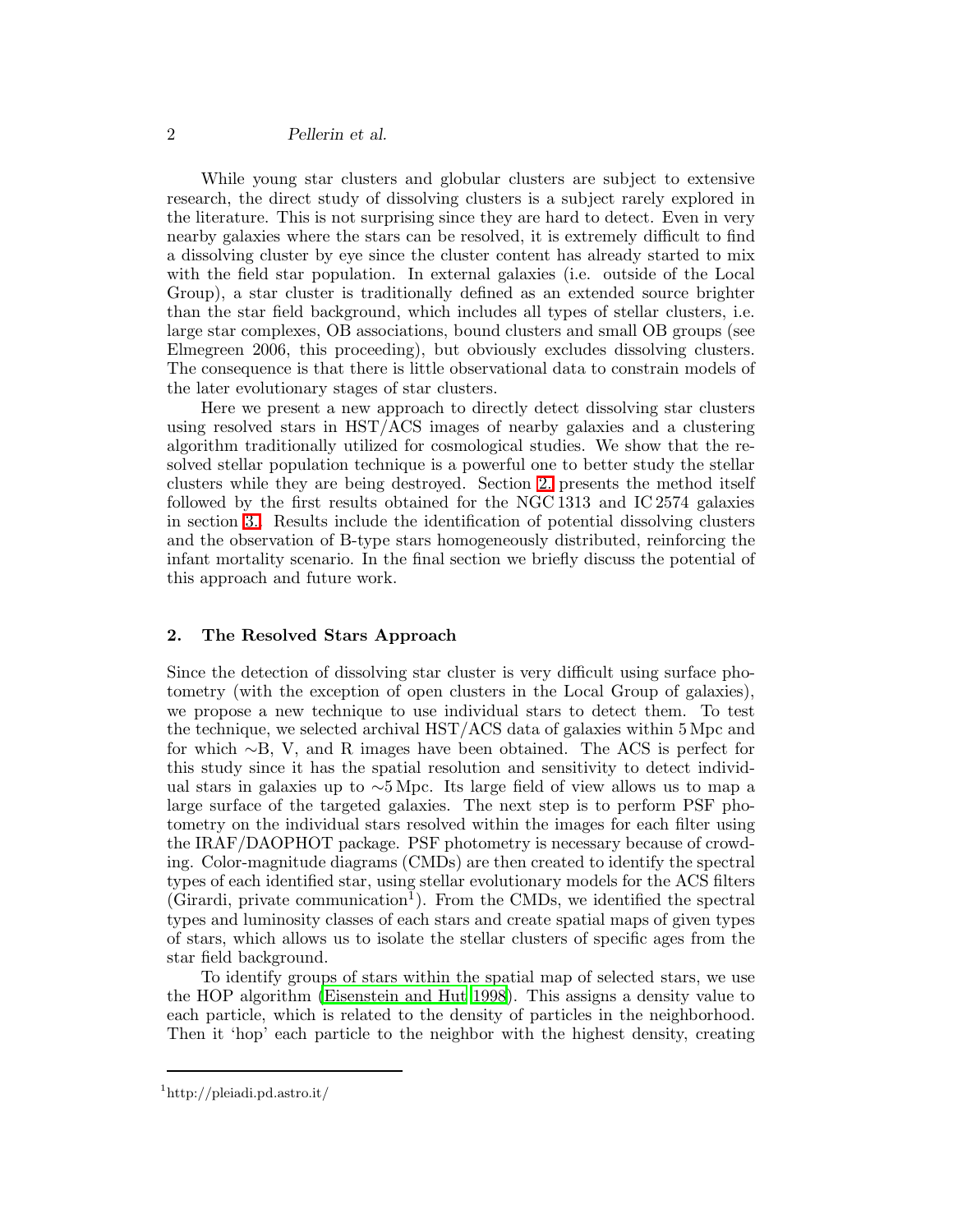## 2 Pellerin et al.

While young star clusters and globular clusters are subject to extensive research, the direct study of dissolving clusters is a subject rarely explored in the literature. This is not surprising since they are hard to detect. Even in very nearby galaxies where the stars can be resolved, it is extremely difficult to find a dissolving cluster by eye since the cluster content has already started to mix with the field star population. In external galaxies (i.e. outside of the Local Group), a star cluster is traditionally defined as an extended source brighter than the star field background, which includes all types of stellar clusters, i.e. large star complexes, OB associations, bound clusters and small OB groups (see Elmegreen 2006, this proceeding), but obviously excludes dissolving clusters. The consequence is that there is little observational data to constrain models of the later evolutionary stages of star clusters.

Here we present a new approach to directly detect dissolving star clusters using resolved stars in HST/ACS images of nearby galaxies and a clustering algorithm traditionally utilized for cosmological studies. We show that the resolved stellar population technique is a powerful one to better study the stellar clusters while they are being destroyed. Section [2.](#page-1-0) presents the method itself followed by the first results obtained for the NGC 1313 and IC 2574 galaxies in section [3..](#page-2-0) Results include the identification of potential dissolving clusters and the observation of B-type stars homogeneously distributed, reinforcing the infant mortality scenario. In the final section we briefly discuss the potential of this approach and future work.

### <span id="page-1-0"></span>2. The Resolved Stars Approach

Since the detection of dissolving star cluster is very difficult using surface photometry (with the exception of open clusters in the Local Group of galaxies), we propose a new technique to use individual stars to detect them. To test the technique, we selected archival HST/ACS data of galaxies within 5 Mpc and for which ∼B, V, and R images have been obtained. The ACS is perfect for this study since it has the spatial resolution and sensitivity to detect individual stars in galaxies up to ∼5 Mpc. Its large field of view allows us to map a large surface of the targeted galaxies. The next step is to perform PSF photometry on the individual stars resolved within the images for each filter using the IRAF/DAOPHOT package. PSF photometry is necessary because of crowding. Color-magnitude diagrams (CMDs) are then created to identify the spectral types of each identified star, using stellar evolutionary models for the ACS filters  $(\widehat{G}$ irardi, private communication<sup>1</sup>). From the CMDs, we identified the spectral types and luminosity classes of each stars and create spatial maps of given types of stars, which allows us to isolate the stellar clusters of specific ages from the star field background.

To identify groups of stars within the spatial map of selected stars, we use the HOP algorithm [\(Eisenstein and Hut 1998](#page-7-11)). This assigns a density value to each particle, which is related to the density of particles in the neighborhood. Then it 'hop' each particle to the neighbor with the highest density, creating

<sup>1</sup> http://pleiadi.pd.astro.it/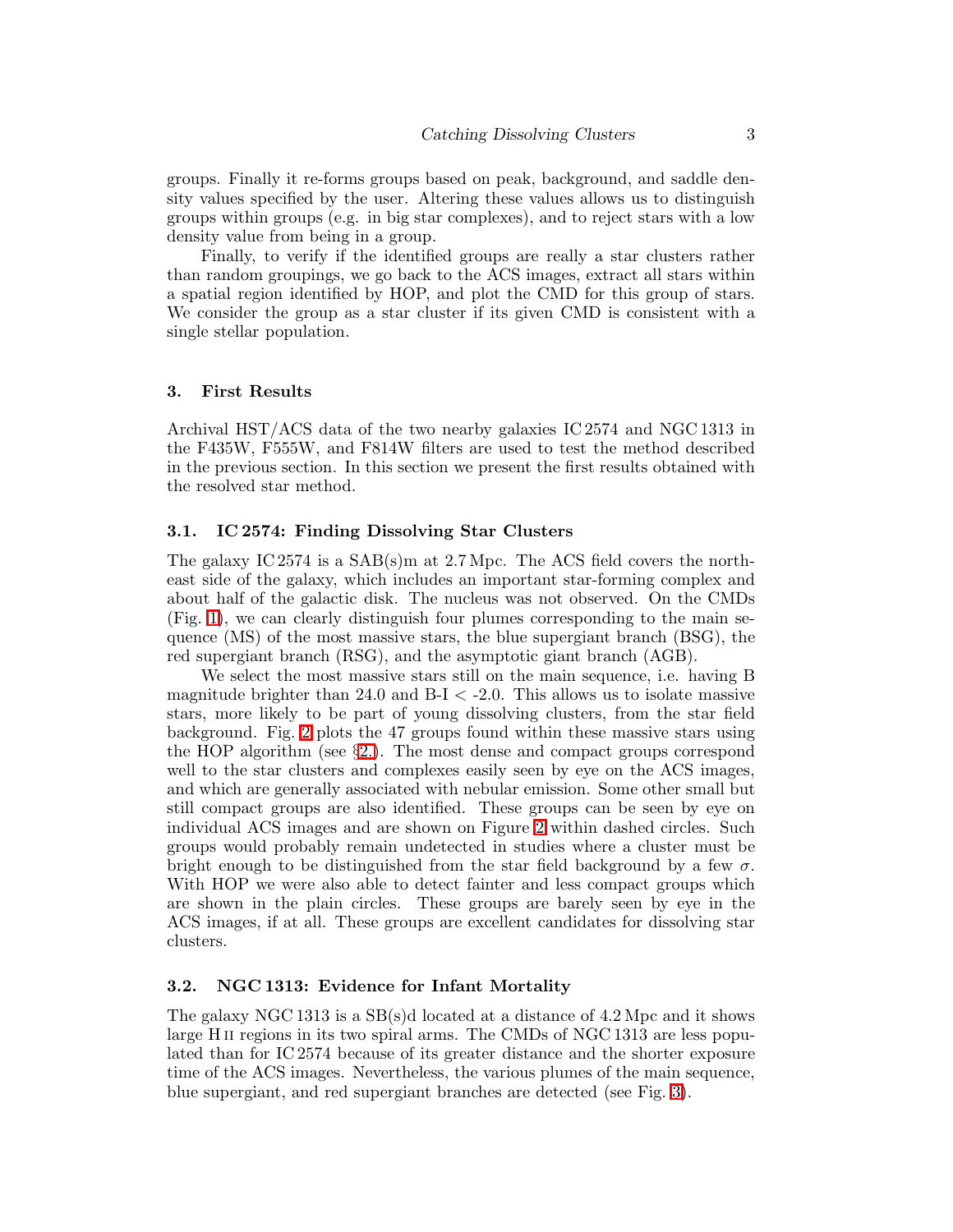groups. Finally it re-forms groups based on peak, background, and saddle density values specified by the user. Altering these values allows us to distinguish groups within groups (e.g. in big star complexes), and to reject stars with a low density value from being in a group.

Finally, to verify if the identified groups are really a star clusters rather than random groupings, we go back to the ACS images, extract all stars within a spatial region identified by HOP, and plot the CMD for this group of stars. We consider the group as a star cluster if its given CMD is consistent with a single stellar population.

#### <span id="page-2-0"></span>3. First Results

Archival HST/ACS data of the two nearby galaxies IC 2574 and NGC 1313 in the F435W, F555W, and F814W filters are used to test the method described in the previous section. In this section we present the first results obtained with the resolved star method.

## 3.1. IC 2574: Finding Dissolving Star Clusters

The galaxy IC 2574 is a SAB(s)m at 2.7 Mpc. The ACS field covers the northeast side of the galaxy, which includes an important star-forming complex and about half of the galactic disk. The nucleus was not observed. On the CMDs (Fig. [1\)](#page-3-0), we can clearly distinguish four plumes corresponding to the main sequence (MS) of the most massive stars, the blue supergiant branch (BSG), the red supergiant branch (RSG), and the asymptotic giant branch (AGB).

We select the most massive stars still on the main sequence, i.e. having B magnitude brighter than 24.0 and  $B-I < -2.0$ . This allows us to isolate massive stars, more likely to be part of young dissolving clusters, from the star field background. Fig. [2](#page-4-0) plots the 47 groups found within these massive stars using the HOP algorithm (see §[2.\)](#page-1-0). The most dense and compact groups correspond well to the star clusters and complexes easily seen by eye on the ACS images, and which are generally associated with nebular emission. Some other small but still compact groups are also identified. These groups can be seen by eye on individual ACS images and are shown on Figure [2](#page-4-0) within dashed circles. Such groups would probably remain undetected in studies where a cluster must be bright enough to be distinguished from the star field background by a few  $\sigma$ . With HOP we were also able to detect fainter and less compact groups which are shown in the plain circles. These groups are barely seen by eye in the ACS images, if at all. These groups are excellent candidates for dissolving star clusters.

### <span id="page-2-1"></span>3.2. NGC 1313: Evidence for Infant Mortality

The galaxy NGC 1313 is a SB(s)d located at a distance of 4.2 Mpc and it shows large H<sub>II</sub> regions in its two spiral arms. The CMDs of NGC 1313 are less populated than for IC 2574 because of its greater distance and the shorter exposure time of the ACS images. Nevertheless, the various plumes of the main sequence, blue supergiant, and red supergiant branches are detected (see Fig. [3\)](#page-5-0).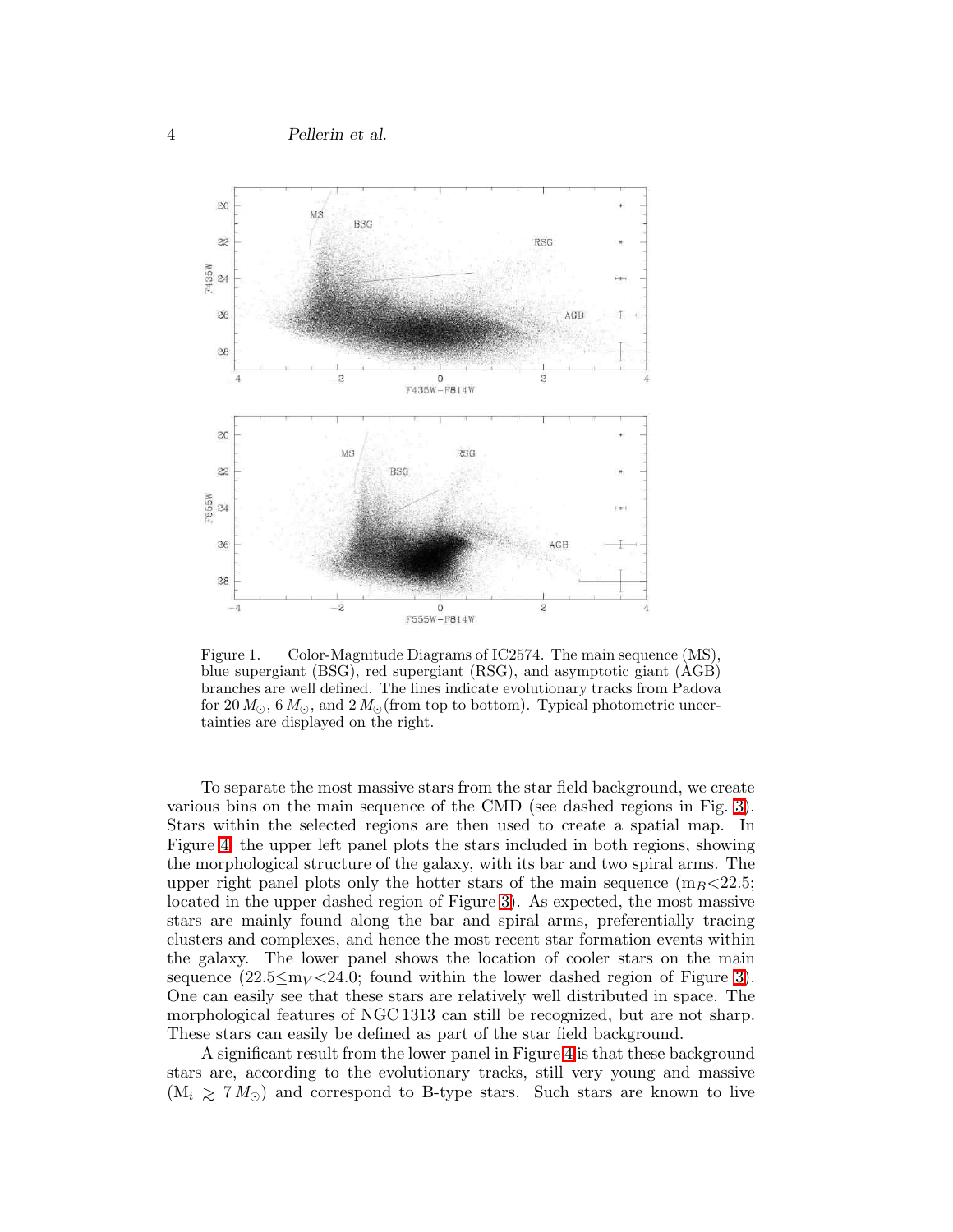4 Pellerin et al.



<span id="page-3-0"></span>Figure 1. Color-Magnitude Diagrams of IC2574. The main sequence (MS), blue supergiant (BSG), red supergiant (RSG), and asymptotic giant (AGB) branches are well defined. The lines indicate evolutionary tracks from Padova for 20  $M_{\odot}$ , 6  $M_{\odot}$ , and 2  $M_{\odot}$  (from top to bottom). Typical photometric uncertainties are displayed on the right.

To separate the most massive stars from the star field background, we create various bins on the main sequence of the CMD (see dashed regions in Fig. [3\)](#page-5-0). Stars within the selected regions are then used to create a spatial map. In Figure [4,](#page-6-0) the upper left panel plots the stars included in both regions, showing the morphological structure of the galaxy, with its bar and two spiral arms. The upper right panel plots only the hotter stars of the main sequence  $(m_B < 22.5;$ located in the upper dashed region of Figure [3\)](#page-5-0). As expected, the most massive stars are mainly found along the bar and spiral arms, preferentially tracing clusters and complexes, and hence the most recent star formation events within the galaxy. The lower panel shows the location of cooler stars on the main sequence  $(22.5 \leq m_V < 24.0$ ; found within the lower dashed region of Figure [3\)](#page-5-0). One can easily see that these stars are relatively well distributed in space. The morphological features of NGC 1313 can still be recognized, but are not sharp. These stars can easily be defined as part of the star field background.

A significant result from the lower panel in Figure [4](#page-6-0) is that these background stars are, according to the evolutionary tracks, still very young and massive  $(M_i \geq 7 M_{\odot})$  and correspond to B-type stars. Such stars are known to live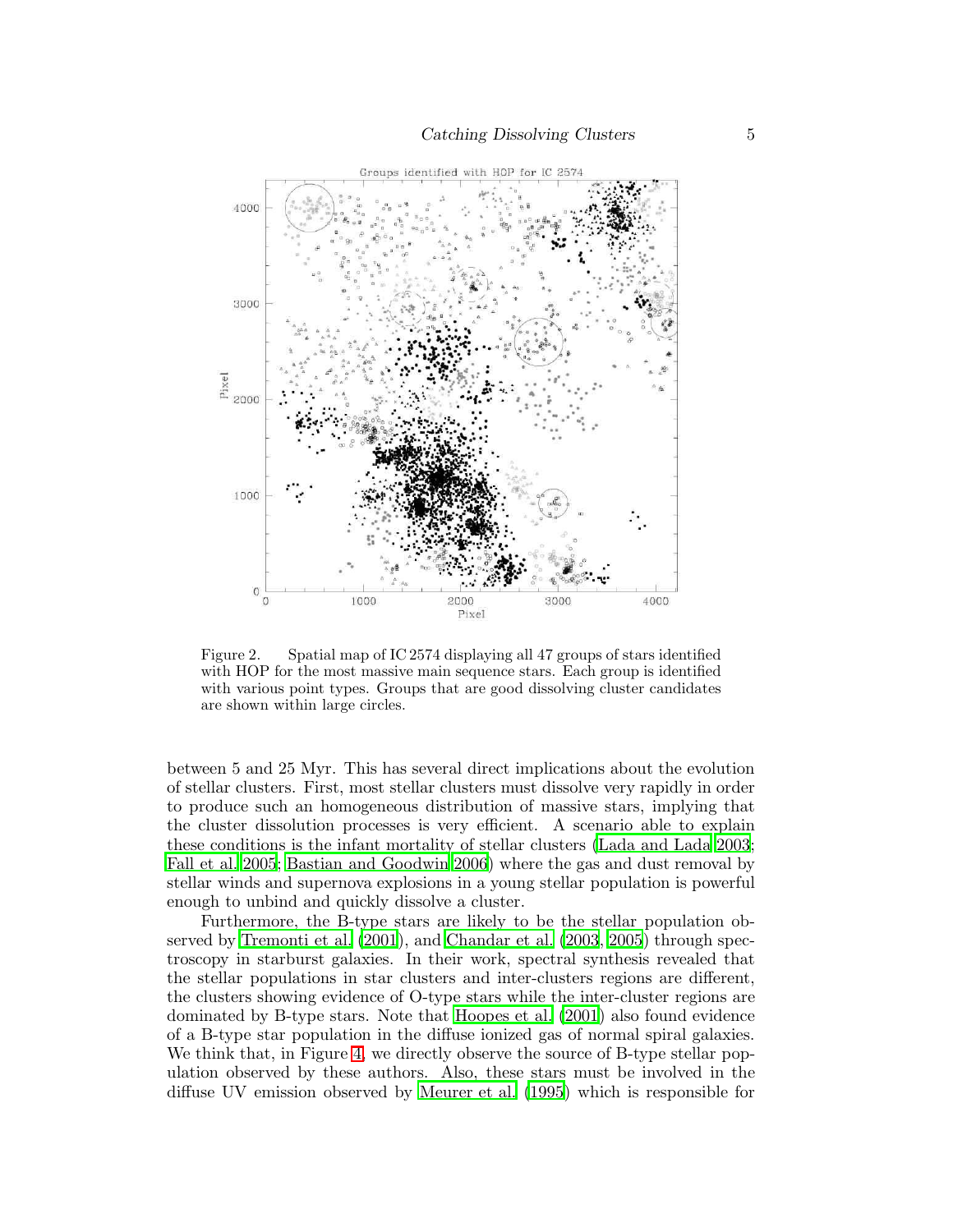

<span id="page-4-0"></span>Figure 2. Spatial map of IC 2574 displaying all 47 groups of stars identified with HOP for the most massive main sequence stars. Each group is identified with various point types. Groups that are good dissolving cluster candidates are shown within large circles.

between 5 and 25 Myr. This has several direct implications about the evolution of stellar clusters. First, most stellar clusters must dissolve very rapidly in order to produce such an homogeneous distribution of massive stars, implying that the cluster dissolution processes is very efficient. A scenario able to explain these conditions is the infant mortality of stellar clusters [\(Lada and Lada 2003](#page-7-0); [Fall et al. 2005;](#page-7-10) [Bastian and Goodwin 2006](#page-7-5)) where the gas and dust removal by stellar winds and supernova explosions in a young stellar population is powerful enough to unbind and quickly dissolve a cluster.

Furthermore, the B-type stars are likely to be the stellar population observed by [Tremonti et al. \(2001](#page-7-12)), and [Chandar et al. \(2003](#page-7-13), [2005](#page-7-14)) through spectroscopy in starburst galaxies. In their work, spectral synthesis revealed that the stellar populations in star clusters and inter-clusters regions are different, the clusters showing evidence of O-type stars while the inter-cluster regions are dominated by B-type stars. Note that [Hoopes et al. \(2001\)](#page-7-15) also found evidence of a B-type star population in the diffuse ionized gas of normal spiral galaxies. We think that, in Figure [4,](#page-6-0) we directly observe the source of B-type stellar population observed by these authors. Also, these stars must be involved in the diffuse UV emission observed by [Meurer et al. \(1995](#page-7-16)) which is responsible for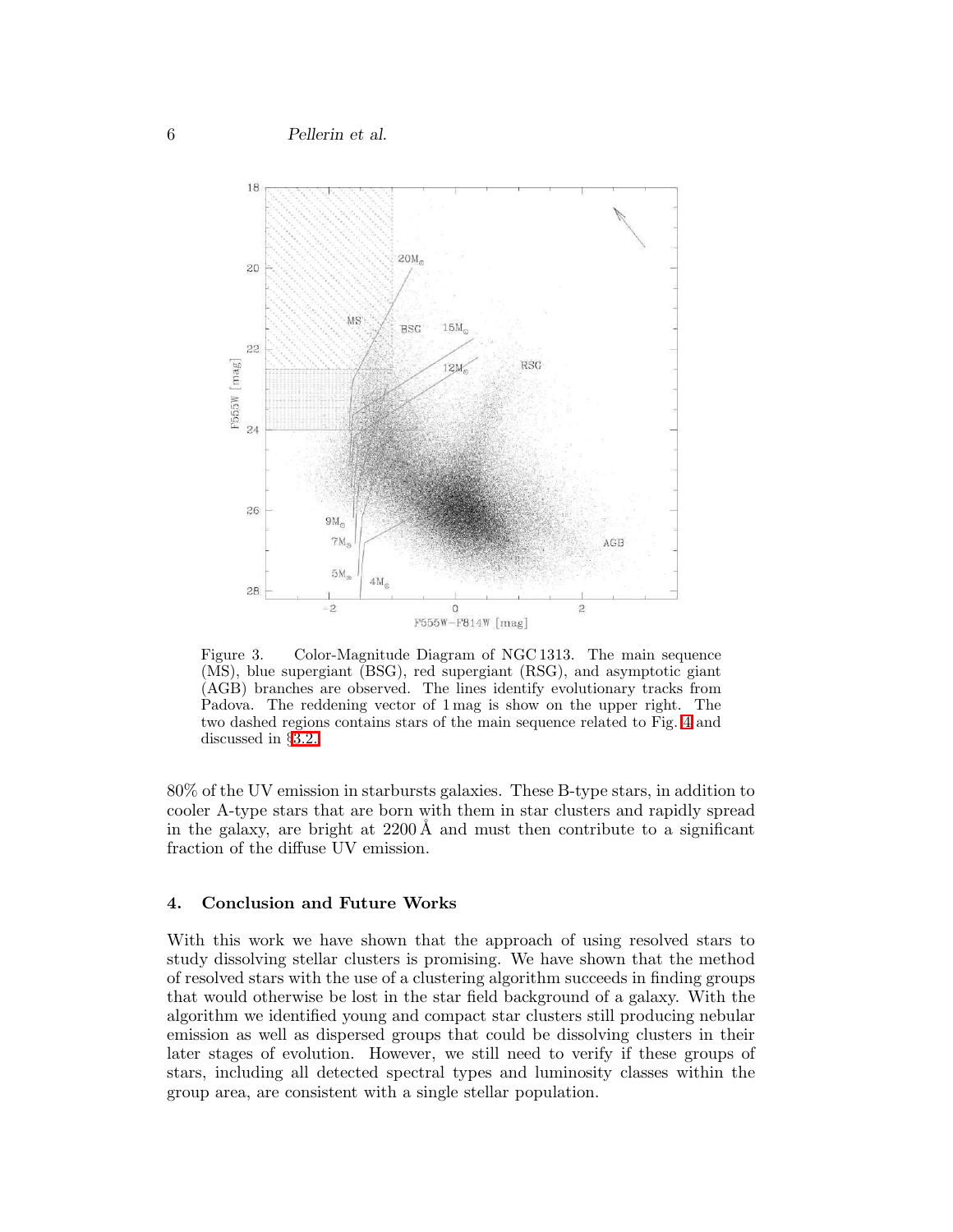6 Pellerin et al.



<span id="page-5-0"></span>Figure 3. Color-Magnitude Diagram of NGC 1313. The main sequence (MS), blue supergiant (BSG), red supergiant (RSG), and asymptotic giant (AGB) branches are observed. The lines identify evolutionary tracks from Padova. The reddening vector of 1 mag is show on the upper right. The two dashed regions contains stars of the main sequence related to Fig. [4](#page-6-0) and discussed in §[3.2..](#page-2-1)

80% of the UV emission in starbursts galaxies. These B-type stars, in addition to cooler A-type stars that are born with them in star clusters and rapidly spread in the galaxy, are bright at  $2200 \text{\AA}$  and must then contribute to a significant fraction of the diffuse UV emission.

#### 4. Conclusion and Future Works

With this work we have shown that the approach of using resolved stars to study dissolving stellar clusters is promising. We have shown that the method of resolved stars with the use of a clustering algorithm succeeds in finding groups that would otherwise be lost in the star field background of a galaxy. With the algorithm we identified young and compact star clusters still producing nebular emission as well as dispersed groups that could be dissolving clusters in their later stages of evolution. However, we still need to verify if these groups of stars, including all detected spectral types and luminosity classes within the group area, are consistent with a single stellar population.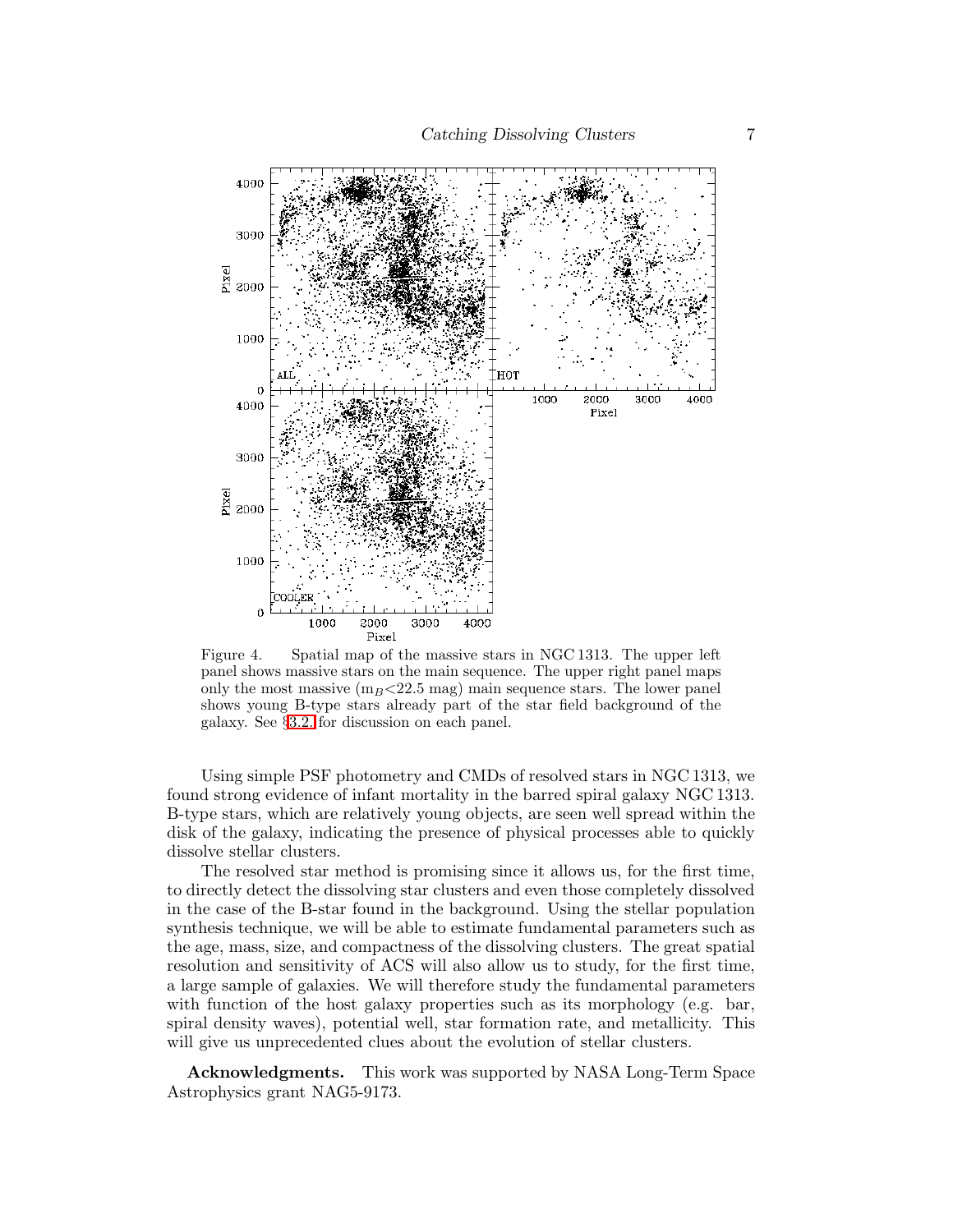

<span id="page-6-0"></span>Figure 4. Spatial map of the massive stars in NGC 1313. The upper left panel shows massive stars on the main sequence. The upper right panel maps only the most massive  $(m_B<22.5 \text{ mag})$  main sequence stars. The lower panel shows young B-type stars already part of the star field background of the galaxy. See §[3.2.](#page-2-1) for discussion on each panel.

Using simple PSF photometry and CMDs of resolved stars in NGC 1313, we found strong evidence of infant mortality in the barred spiral galaxy NGC 1313. B-type stars, which are relatively young objects, are seen well spread within the disk of the galaxy, indicating the presence of physical processes able to quickly dissolve stellar clusters.

The resolved star method is promising since it allows us, for the first time, to directly detect the dissolving star clusters and even those completely dissolved in the case of the B-star found in the background. Using the stellar population synthesis technique, we will be able to estimate fundamental parameters such as the age, mass, size, and compactness of the dissolving clusters. The great spatial resolution and sensitivity of ACS will also allow us to study, for the first time, a large sample of galaxies. We will therefore study the fundamental parameters with function of the host galaxy properties such as its morphology (e.g. bar, spiral density waves), potential well, star formation rate, and metallicity. This will give us unprecedented clues about the evolution of stellar clusters.

Acknowledgments. This work was supported by NASA Long-Term Space Astrophysics grant NAG5-9173.